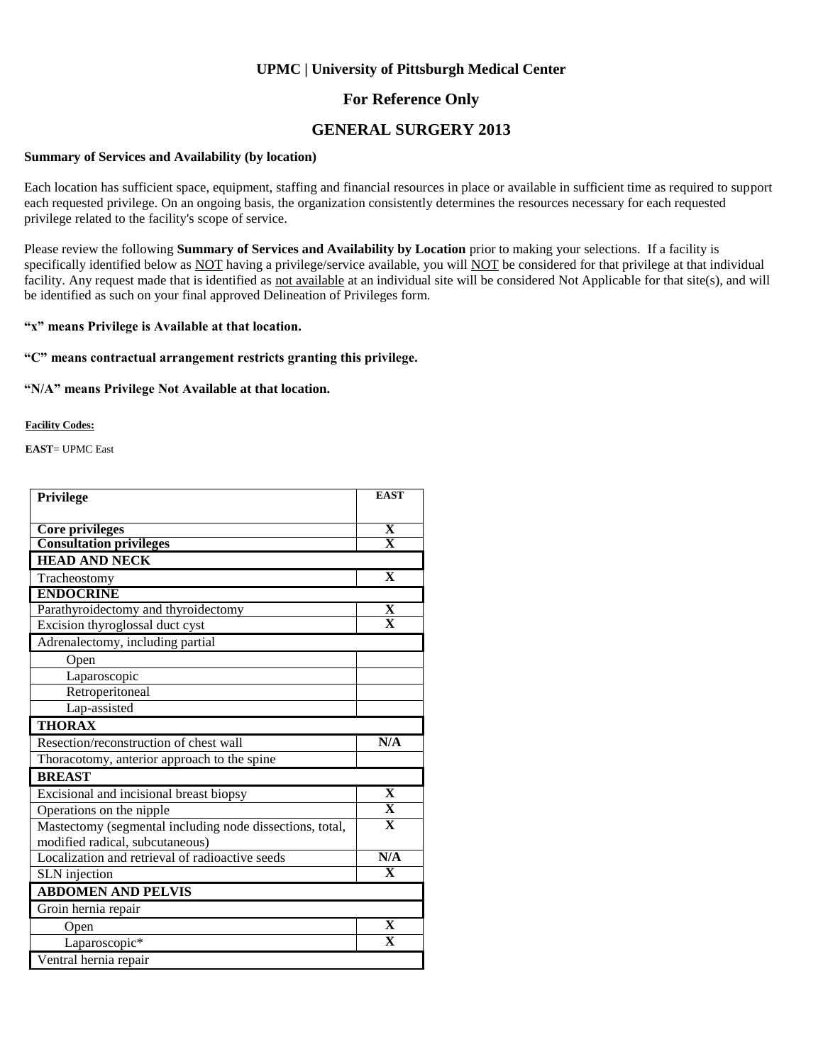#### **For Reference Only**

#### **GENERAL SURGERY 2013**

#### **Summary of Services and Availability (by location)**

Each location has sufficient space, equipment, staffing and financial resources in place or available in sufficient time as required to support each requested privilege. On an ongoing basis, the organization consistently determines the resources necessary for each requested privilege related to the facility's scope of service.

Please review the following **Summary of Services and Availability by Location** prior to making your selections. If a facility is specifically identified below as NOT having a privilege/service available, you will NOT be considered for that privilege at that individual facility. Any request made that is identified as not available at an individual site will be considered Not Applicable for that site(s), and will be identified as such on your final approved Delineation of Privileges form.

**"x" means Privilege is Available at that location.**

#### **"C" means contractual arrangement restricts granting this privilege.**

**"N/A" means Privilege Not Available at that location.**

**Facility Codes:**

**EAST**= UPMC East

| Privilege                                                | <b>EAST</b>             |
|----------------------------------------------------------|-------------------------|
|                                                          |                         |
| <b>Core privileges</b>                                   | X                       |
| <b>Consultation privileges</b>                           | $\overline{\mathbf{x}}$ |
| <b>HEAD AND NECK</b>                                     |                         |
| Tracheostomy                                             | $\mathbf X$             |
| <b>ENDOCRINE</b>                                         |                         |
| Parathyroidectomy and thyroidectomy                      | $\overline{\mathbf{X}}$ |
| Excision thyroglossal duct cyst                          | $\overline{\mathbf{x}}$ |
| Adrenalectomy, including partial                         |                         |
| Open                                                     |                         |
| Laparoscopic                                             |                         |
| Retroperitoneal                                          |                         |
| Lap-assisted                                             |                         |
| <b>THORAX</b>                                            |                         |
| Resection/reconstruction of chest wall                   | N/A                     |
| Thoracotomy, anterior approach to the spine              |                         |
| <b>BREAST</b>                                            |                         |
| Excisional and incisional breast biopsy                  | $\mathbf X$             |
| Operations on the nipple                                 | $\overline{\mathbf{X}}$ |
| Mastectomy (segmental including node dissections, total, | $\overline{\mathbf{X}}$ |
| modified radical, subcutaneous)                          |                         |
| Localization and retrieval of radioactive seeds          | N/A                     |
| <b>SLN</b> injection                                     | $\overline{\mathbf{X}}$ |
| <b>ABDOMEN AND PELVIS</b>                                |                         |
| Groin hernia repair                                      |                         |
| Open                                                     | $\overline{\mathbf{X}}$ |
| Laparoscopic*                                            | $\overline{\mathbf{X}}$ |
| Ventral hernia repair                                    |                         |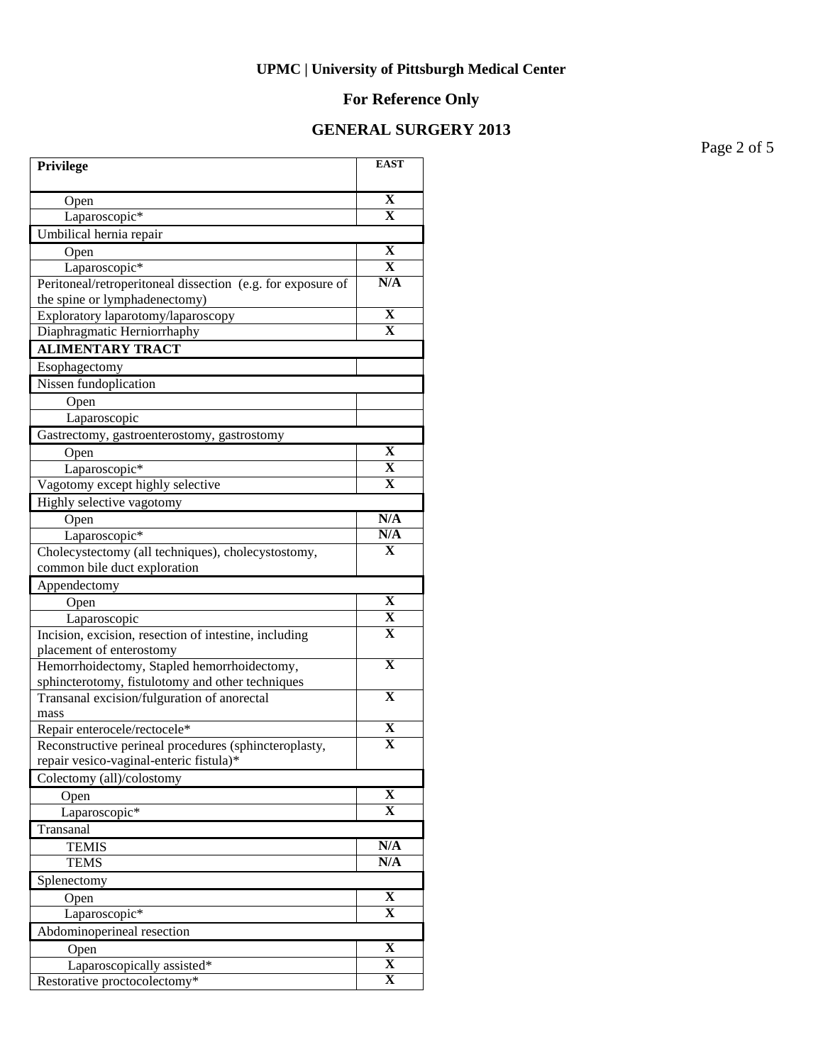# **For Reference Only**

#### **GENERAL SURGERY 2013**

Page 2 of 5

| Privilege                                                                         | <b>EAST</b>             |
|-----------------------------------------------------------------------------------|-------------------------|
| Open                                                                              | $\mathbf X$             |
| Laparoscopic*                                                                     | $\mathbf X$             |
| Umbilical hernia repair                                                           |                         |
| Open                                                                              | X                       |
| Laparoscopic*                                                                     | X                       |
| Peritoneal/retroperitoneal dissection (e.g. for exposure of                       | N/A                     |
| the spine or lymphadenectomy)                                                     |                         |
| Exploratory laparotomy/laparoscopy                                                | X                       |
| Diaphragmatic Herniorrhaphy                                                       | $\overline{\mathbf{X}}$ |
| <b>ALIMENTARY TRACT</b>                                                           |                         |
| Esophagectomy                                                                     |                         |
| Nissen fundoplication                                                             |                         |
| Open                                                                              |                         |
| Laparoscopic                                                                      |                         |
| Gastrectomy, gastroenterostomy, gastrostomy                                       |                         |
| Open                                                                              | X                       |
| Laparoscopic*                                                                     | X                       |
| Vagotomy except highly selective                                                  | X                       |
| Highly selective vagotomy                                                         |                         |
| Open                                                                              | N/A                     |
| Laparoscopic*                                                                     | N/A                     |
| Cholecystectomy (all techniques), cholecystostomy,                                | X                       |
| common bile duct exploration                                                      |                         |
| Appendectomy                                                                      |                         |
| Open                                                                              | $\mathbf X$             |
| Laparoscopic                                                                      | X<br>$\mathbf X$        |
| Incision, excision, resection of intestine, including<br>placement of enterostomy |                         |
| Hemorrhoidectomy, Stapled hemorrhoidectomy,                                       | $\overline{\mathbf{X}}$ |
| sphincterotomy, fistulotomy and other techniques                                  |                         |
| Transanal excision/fulguration of anorectal                                       | $\overline{\mathbf{X}}$ |
| mass                                                                              |                         |
| Repair enterocele/rectocele*                                                      | X                       |
| Reconstructive perineal procedures (sphincteroplasty,                             | $\mathbf X$             |
| repair vesico-vaginal-enteric fistula)*                                           |                         |
| Colectomy (all)/colostomy                                                         |                         |
| Open                                                                              | $\mathbf X$             |
| Laparoscopic*                                                                     | $\overline{\mathbf{X}}$ |
| Transanal                                                                         |                         |
| <b>TEMIS</b>                                                                      | N/A                     |
| <b>TEMS</b>                                                                       | N/A                     |
| Splenectomy                                                                       |                         |
| Open                                                                              | X                       |
| Laparoscopic*                                                                     | $\mathbf X$             |
| Abdominoperineal resection                                                        |                         |
| Open                                                                              | $\overline{\mathbf{X}}$ |
| Laparoscopically assisted*                                                        | $\overline{\mathbf{X}}$ |
| Restorative proctocolectomy*                                                      | $\overline{\mathbf{X}}$ |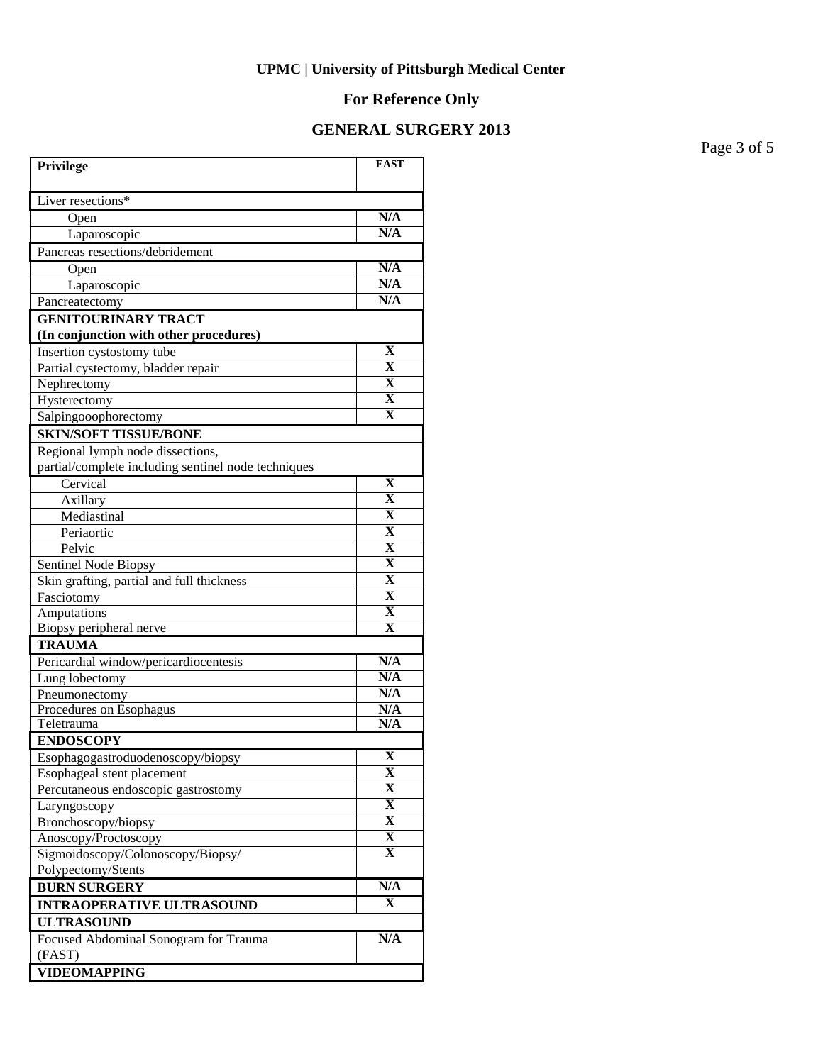# **For Reference Only**

# **GENERAL SURGERY 2013**

Page 3 of 5

| Privilege                                             | <b>EAST</b>             |
|-------------------------------------------------------|-------------------------|
| Liver resections*                                     |                         |
| Open                                                  | N/A                     |
| Laparoscopic                                          | N/A                     |
| Pancreas resections/debridement                       |                         |
| Open                                                  | N/A                     |
| Laparoscopic                                          | N/A                     |
| Pancreatectomy                                        | $\overline{\text{N/A}}$ |
| <b>GENITOURINARY TRACT</b>                            |                         |
| (In conjunction with other procedures)                |                         |
| Insertion cystostomy tube                             | $\mathbf X$             |
| Partial cystectomy, bladder repair                    | $\mathbf X$             |
| Nephrectomy                                           | $\mathbf X$             |
| Hysterectomy                                          | $\mathbf X$             |
| Salpingooophorectomy                                  | $\overline{\mathbf{X}}$ |
| <b>SKIN/SOFT TISSUE/BONE</b>                          |                         |
| Regional lymph node dissections,                      |                         |
| partial/complete including sentinel node techniques   |                         |
| Cervical                                              | $\mathbf X$             |
| Axillary                                              | $\overline{\mathbf{X}}$ |
| Mediastinal                                           | $\overline{\mathbf{X}}$ |
| Periaortic                                            | $\overline{\mathbf{X}}$ |
| Pelvic                                                | $\overline{\mathbf{X}}$ |
| Sentinel Node Biopsy                                  | $\overline{\mathbf{X}}$ |
| Skin grafting, partial and full thickness             | $\overline{\mathbf{X}}$ |
| Fasciotomy                                            | $\overline{\mathbf{X}}$ |
| Amputations                                           | $\overline{\mathbf{X}}$ |
| Biopsy peripheral nerve                               | $\mathbf X$             |
| <b>TRAUMA</b>                                         |                         |
| Pericardial window/pericardiocentesis                 | N/A                     |
| Lung lobectomy                                        | N/A                     |
| Pneumonectomy                                         | N/A                     |
| Procedures on Esophagus                               | N/A                     |
| Teletrauma                                            | N/A                     |
| <b>ENDOSCOPY</b>                                      | $\overline{\mathbf{X}}$ |
| Esophagogastroduodenoscopy/biopsy                     | X                       |
| Esophageal stent placement                            | $\overline{\mathbf{X}}$ |
| Percutaneous endoscopic gastrostomy                   | $\overline{\mathbf{X}}$ |
| Laryngoscopy                                          | $\overline{\mathbf{X}}$ |
| Bronchoscopy/biopsy<br>Anoscopy/Proctoscopy           | $\overline{\mathbf{X}}$ |
| Sigmoidoscopy/Colonoscopy/Biopsy/                     | $\mathbf X$             |
| Polypectomy/Stents                                    |                         |
| <b>BURN SURGERY</b>                                   | N/A                     |
|                                                       | X                       |
| <b>INTRAOPERATIVE ULTRASOUND</b><br><b>ULTRASOUND</b> |                         |
|                                                       | N/A                     |
| Focused Abdominal Sonogram for Trauma<br>(FAST)       |                         |
|                                                       |                         |
| <b>VIDEOMAPPING</b>                                   |                         |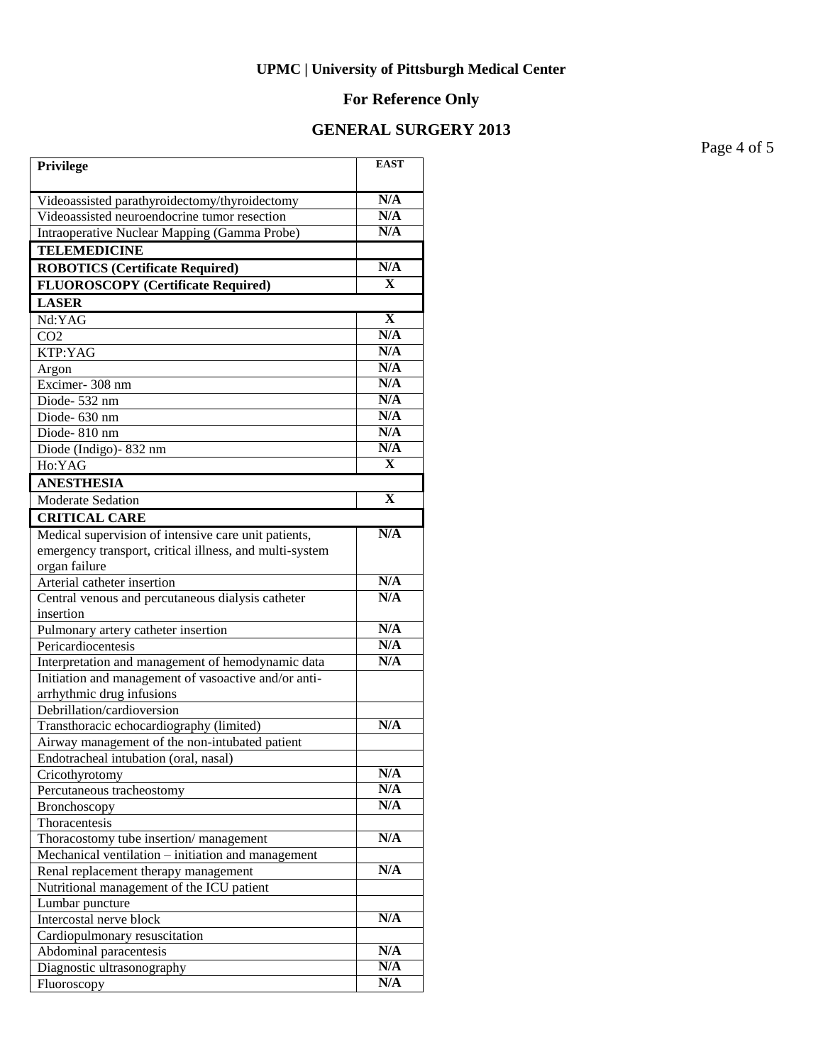# **For Reference Only**

#### **GENERAL SURGERY 2013**

Page 4 of 5

| Privilege                                                      | <b>EAST</b>  |
|----------------------------------------------------------------|--------------|
| Videoassisted parathyroidectomy/thyroidectomy                  | N/A          |
| Videoassisted neuroendocrine tumor resection                   | N/A          |
| Intraoperative Nuclear Mapping (Gamma Probe)                   | N/A          |
| <b>TELEMEDICINE</b>                                            |              |
| <b>ROBOTICS (Certificate Required)</b>                         | N/A          |
| <b>FLUOROSCOPY</b> (Certificate Required)                      | $\mathbf{X}$ |
| <b>LASER</b>                                                   |              |
| Nd:YAG                                                         | $\mathbf X$  |
| CO <sub>2</sub>                                                | N/A          |
| KTP:YAG                                                        | N/A          |
| Argon                                                          | N/A          |
| Excimer-308 nm                                                 | N/A          |
| Diode-532 nm                                                   | N/A          |
| Diode- 630 nm                                                  | N/A          |
| Diode-810 nm                                                   | N/A          |
| Diode (Indigo)-832 nm                                          | N/A          |
| Ho:YAG                                                         | X            |
| <b>ANESTHESIA</b>                                              |              |
| Moderate Sedation                                              | X            |
| <b>CRITICAL CARE</b>                                           |              |
| Medical supervision of intensive care unit patients,           | N/A          |
| emergency transport, critical illness, and multi-system        |              |
| organ failure                                                  |              |
| Arterial catheter insertion                                    | N/A<br>N/A   |
| Central venous and percutaneous dialysis catheter<br>insertion |              |
| Pulmonary artery catheter insertion                            | N/A          |
| Pericardiocentesis                                             | N/A          |
| Interpretation and management of hemodynamic data              | N/A          |
| Initiation and management of vasoactive and/or anti-           |              |
| arrhythmic drug infusions                                      |              |
| Debrillation/cardioversion                                     |              |
| Transthoracic echocardiography (limited)                       | N/A          |
| Airway management of the non-intubated patient                 |              |
| Endotracheal intubation (oral, nasal)                          |              |
| Cricothyrotomy                                                 | N/A          |
| Percutaneous tracheostomy                                      | N/A          |
| Bronchoscopy                                                   | N/A          |
| Thoracentesis                                                  |              |
| Thoracostomy tube insertion/management                         | N/A          |
| Mechanical ventilation - initiation and management             |              |
| Renal replacement therapy management                           | N/A          |
| Nutritional management of the ICU patient                      |              |
| Lumbar puncture                                                | N/A          |
| Intercostal nerve block                                        |              |
| Cardiopulmonary resuscitation                                  | N/A          |
| Abdominal paracentesis<br>Diagnostic ultrasonography           | N/A          |
| Fluoroscopy                                                    | N/A          |
|                                                                |              |